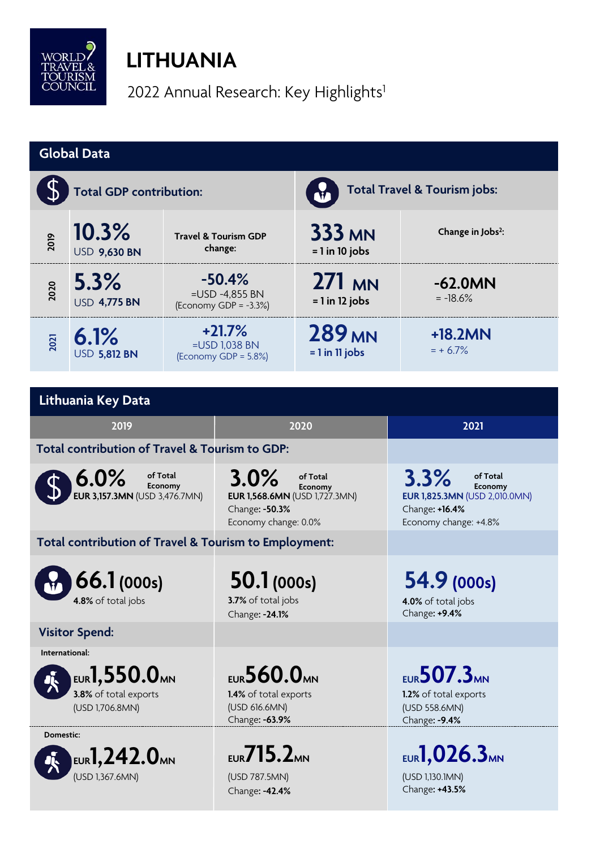

## **LITHUANIA**

2022 Annual Research: Key Highlights<sup>1</sup>

| <b>Global Data</b>                                                                     |                              |                                                                                |                                                                                                        |                                                                               |                                                                                                                |  |  |  |
|----------------------------------------------------------------------------------------|------------------------------|--------------------------------------------------------------------------------|--------------------------------------------------------------------------------------------------------|-------------------------------------------------------------------------------|----------------------------------------------------------------------------------------------------------------|--|--|--|
|                                                                                        | Total GDP contribution:      |                                                                                |                                                                                                        | <b>Total Travel &amp; Tourism jobs:</b>                                       |                                                                                                                |  |  |  |
| 2019                                                                                   | 10.3%<br><b>USD 9,630 BN</b> | <b>Travel &amp; Tourism GDP</b><br>change:                                     |                                                                                                        | <b>333 MN</b><br>$= 1$ in 10 jobs                                             | Change in Jobs <sup>2</sup> :                                                                                  |  |  |  |
| 2020                                                                                   | 5.3%<br><b>USD 4,775 BN</b>  | $-50.4%$<br>=USD -4,855 BN<br>(Economy GDP = $-3.3%$ )                         |                                                                                                        | <b>271 MN</b><br>$= 1$ in 12 jobs                                             | $-62.0MN$<br>$= -18.6%$                                                                                        |  |  |  |
| 2021                                                                                   | 6.1%<br><b>USD 5,812 BN</b>  | $+21.7%$<br>=USD 1,038 BN<br>(Economy GDP = 5.8%)                              |                                                                                                        | <b>289 MN</b><br>$= 1$ in 11 jobs                                             | $+18.2MN$<br>$= + 6.7\%$                                                                                       |  |  |  |
|                                                                                        |                              |                                                                                |                                                                                                        |                                                                               |                                                                                                                |  |  |  |
| Lithuania Key Data                                                                     |                              |                                                                                |                                                                                                        |                                                                               |                                                                                                                |  |  |  |
| 2019                                                                                   |                              |                                                                                | 2020                                                                                                   |                                                                               | 2021                                                                                                           |  |  |  |
| Total contribution of Travel & Tourism to GDP:                                         |                              |                                                                                |                                                                                                        |                                                                               |                                                                                                                |  |  |  |
| $6.0\%$<br>of Total<br>Economy<br><b>EUR 3,157.3MN (USD 3,476.7MN)</b>                 |                              |                                                                                | 3.0%<br>of Total<br>Economy<br>EUR 1,568.6MN (USD 1,727.3MN)<br>Change: -50.3%<br>Economy change: 0.0% |                                                                               | 3.3%<br>of Total<br>Economy<br><b>EUR 1,825.3MN (USD 2,010.0MN)</b><br>Change: +16.4%<br>Economy change: +4.8% |  |  |  |
| Total contribution of Travel & Tourism to Employment:                                  |                              |                                                                                |                                                                                                        |                                                                               |                                                                                                                |  |  |  |
| 66.1(000s)<br>4.8% of total jobs                                                       |                              |                                                                                | 50.1(000s)<br>3.7% of total jobs<br>Change: - 24.1%                                                    |                                                                               | 54.9 (000s)<br>4.0% of total jobs<br>Change: +9.4%                                                             |  |  |  |
| <b>Visitor Spend:</b>                                                                  |                              |                                                                                |                                                                                                        |                                                                               |                                                                                                                |  |  |  |
| International:<br>EUR1,550.0 <sub>MN</sub><br>3.8% of total exports<br>(USD 1,706.8MN) |                              | <b>EUR 560.0MN</b><br>1.4% of total exports<br>(USD 616.6MN)<br>Change: -63.9% |                                                                                                        | <b>EUR 507.3MN</b><br>1.2% of total exports<br>(USD 558.6MN)<br>Change: -9.4% |                                                                                                                |  |  |  |
| Domestic:<br>EUR $\mathbf{1,242.0}$ mn<br>(USD 1,367.6MN)                              |                              | $EUR}$ 715.2MN<br>(USD 787.5MN)<br>Change: - 42.4%                             |                                                                                                        | <b>EUR1,026.3MN</b><br>(USD 1,130.1MN)<br>Change: +43.5%                      |                                                                                                                |  |  |  |